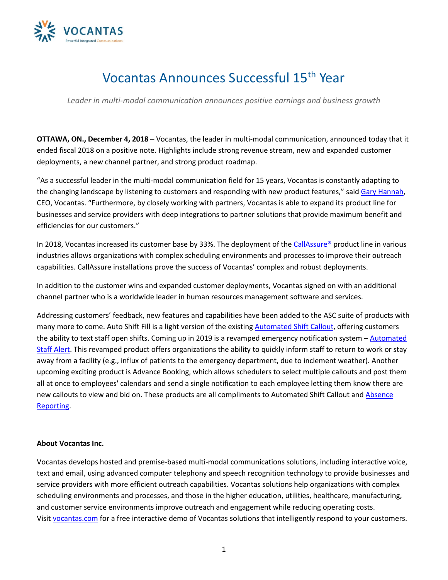

## Vocantas Announces Successful 15th Year

*Leader in multi-modal communication announces positive earnings and business growth*

**OTTAWA, ON., December 4, 2018** – Vocantas, the leader in multi-modal communication, announced today that it ended fiscal 2018 on a positive note. Highlights include strong revenue stream, new and expanded customer deployments, a new channel partner, and strong product roadmap.

"As a successful leader in the multi-modal communication field for 15 years, Vocantas is constantly adapting to the changing landscape by listening to customers and responding with new product features," sai[d Gary Hannah,](https://www.vocantas.com/management-team/gary-t-hannah) CEO, Vocantas. "Furthermore, by closely working with partners, Vocantas is able to expand its product line for businesses and service providers with deep integrations to partner solutions that provide maximum benefit and efficiencies for our customers."

In 2018, Vocantas increased its customer base by 33%. The deployment of th[e CallAssure®](https://www.vocantas.com/callassure) product line in various industries allows organizations with complex scheduling environments and processes to improve their outreach capabilities. CallAssure installations prove the success of Vocantas' complex and robust deployments.

In addition to the customer wins and expanded customer deployments, Vocantas signed on with an additional channel partner who is a worldwide leader in human resources management software and services.

Addressing customers' feedback, new features and capabilities have been added to the ASC suite of products with many more to come. Auto Shift Fill is a light version of the existing [Automated Shift Callout,](https://www.vocantas.com/products/auto-shift-callout) offering customers the ability to text staff open shifts. Coming up in 2019 is a revamped emergency notification system – [Automated](https://www.vocantas.com/products/emergency-broadcast-notifications)  [Staff Alert.](https://www.vocantas.com/products/emergency-broadcast-notifications) This revamped product offers organizations the ability to quickly inform staff to return to work or stay away from a facility (e.g., influx of patients to the emergency department, due to inclement weather). Another upcoming exciting product is Advance Booking, which allows schedulers to select multiple callouts and post them all at once to employees' calendars and send a single notification to each employee letting them know there are new callouts to view and bid on. These products are all compliments to Automated Shift Callout an[d Absence](https://www.vocantas.com/products/absence-reporting)  [Reporting.](https://www.vocantas.com/products/absence-reporting)

## **About Vocantas Inc.**

Vocantas develops hosted and premise-based multi-modal communications solutions, including interactive voice, text and email, using advanced computer telephony and speech recognition technology to provide businesses and service providers with more efficient outreach capabilities. Vocantas solutions help organizations with complex scheduling environments and processes, and those in the higher education, utilities, healthcare, manufacturing, and customer service environments improve outreach and engagement while reducing operating costs. Visit [vocantas.com](http://vocantas.com/) for a free interactive demo of Vocantas solutions that intelligently respond to your customers.